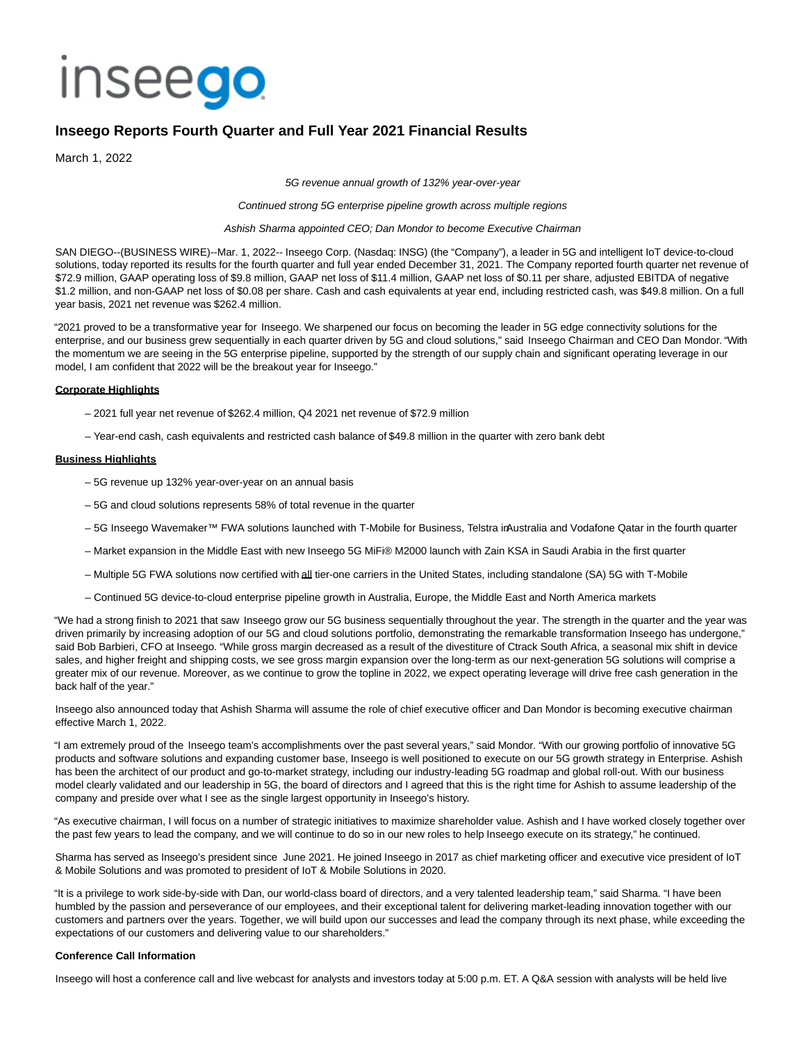# inseego

# **Inseego Reports Fourth Quarter and Full Year 2021 Financial Results**

March 1, 2022

5G revenue annual growth of 132% year-over-year

#### Continued strong 5G enterprise pipeline growth across multiple regions

#### Ashish Sharma appointed CEO; Dan Mondor to become Executive Chairman

SAN DIEGO--(BUSINESS WIRE)--Mar. 1, 2022-- Inseego Corp. (Nasdaq: INSG) (the "Company"), a leader in 5G and intelligent IoT device-to-cloud solutions, today reported its results for the fourth quarter and full year ended December 31, 2021. The Company reported fourth quarter net revenue of \$72.9 million, GAAP operating loss of \$9.8 million, GAAP net loss of \$11.4 million, GAAP net loss of \$0.11 per share, adjusted EBITDA of negative \$1.2 million, and non-GAAP net loss of \$0.08 per share. Cash and cash equivalents at year end, including restricted cash, was \$49.8 million. On a full year basis, 2021 net revenue was \$262.4 million.

"2021 proved to be a transformative year for Inseego. We sharpened our focus on becoming the leader in 5G edge connectivity solutions for the enterprise, and our business grew sequentially in each quarter driven by 5G and cloud solutions," said Inseego Chairman and CEO Dan Mondor. "With the momentum we are seeing in the 5G enterprise pipeline, supported by the strength of our supply chain and significant operating leverage in our model, I am confident that 2022 will be the breakout year for Inseego."

#### **Corporate Highlights**

- 2021 full year net revenue of \$262.4 million, Q4 2021 net revenue of \$72.9 million
- Year-end cash, cash equivalents and restricted cash balance of \$49.8 million in the quarter with zero bank debt

# **Business Highlights**

- 5G revenue up 132% year-over-year on an annual basis
- 5G and cloud solutions represents 58% of total revenue in the quarter
- 5G Inseego Wavemaker™ FWA solutions launched with T-Mobile for Business, Telstra inAustralia and Vodafone Qatar in the fourth quarter
- Market expansion in the Middle East with new Inseego 5G MiFi® M2000 launch with Zain KSA in Saudi Arabia in the first quarter
- Multiple 5G FWA solutions now certified with all tier-one carriers in the United States, including standalone (SA) 5G with T-Mobile
- Continued 5G device-to-cloud enterprise pipeline growth in Australia, Europe, the Middle East and North America markets

"We had a strong finish to 2021 that saw Inseego grow our 5G business sequentially throughout the year. The strength in the quarter and the year was driven primarily by increasing adoption of our 5G and cloud solutions portfolio, demonstrating the remarkable transformation Inseego has undergone," said Bob Barbieri, CFO at Inseego. "While gross margin decreased as a result of the divestiture of Ctrack South Africa, a seasonal mix shift in device sales, and higher freight and shipping costs, we see gross margin expansion over the long-term as our next-generation 5G solutions will comprise a greater mix of our revenue. Moreover, as we continue to grow the topline in 2022, we expect operating leverage will drive free cash generation in the back half of the year."

Inseego also announced today that Ashish Sharma will assume the role of chief executive officer and Dan Mondor is becoming executive chairman effective March 1, 2022.

"I am extremely proud of the Inseego team's accomplishments over the past several years," said Mondor. "With our growing portfolio of innovative 5G products and software solutions and expanding customer base, Inseego is well positioned to execute on our 5G growth strategy in Enterprise. Ashish has been the architect of our product and go-to-market strategy, including our industry-leading 5G roadmap and global roll-out. With our business model clearly validated and our leadership in 5G, the board of directors and I agreed that this is the right time for Ashish to assume leadership of the company and preside over what I see as the single largest opportunity in Inseego's history.

"As executive chairman, I will focus on a number of strategic initiatives to maximize shareholder value. Ashish and I have worked closely together over the past few years to lead the company, and we will continue to do so in our new roles to help Inseego execute on its strategy," he continued.

Sharma has served as Inseego's president since June 2021. He joined Inseego in 2017 as chief marketing officer and executive vice president of IoT & Mobile Solutions and was promoted to president of IoT & Mobile Solutions in 2020.

"It is a privilege to work side-by-side with Dan, our world-class board of directors, and a very talented leadership team," said Sharma. "I have been humbled by the passion and perseverance of our employees, and their exceptional talent for delivering market-leading innovation together with our customers and partners over the years. Together, we will build upon our successes and lead the company through its next phase, while exceeding the expectations of our customers and delivering value to our shareholders."

# **Conference Call Information**

Inseego will host a conference call and live webcast for analysts and investors today at 5:00 p.m. ET. A Q&A session with analysts will be held live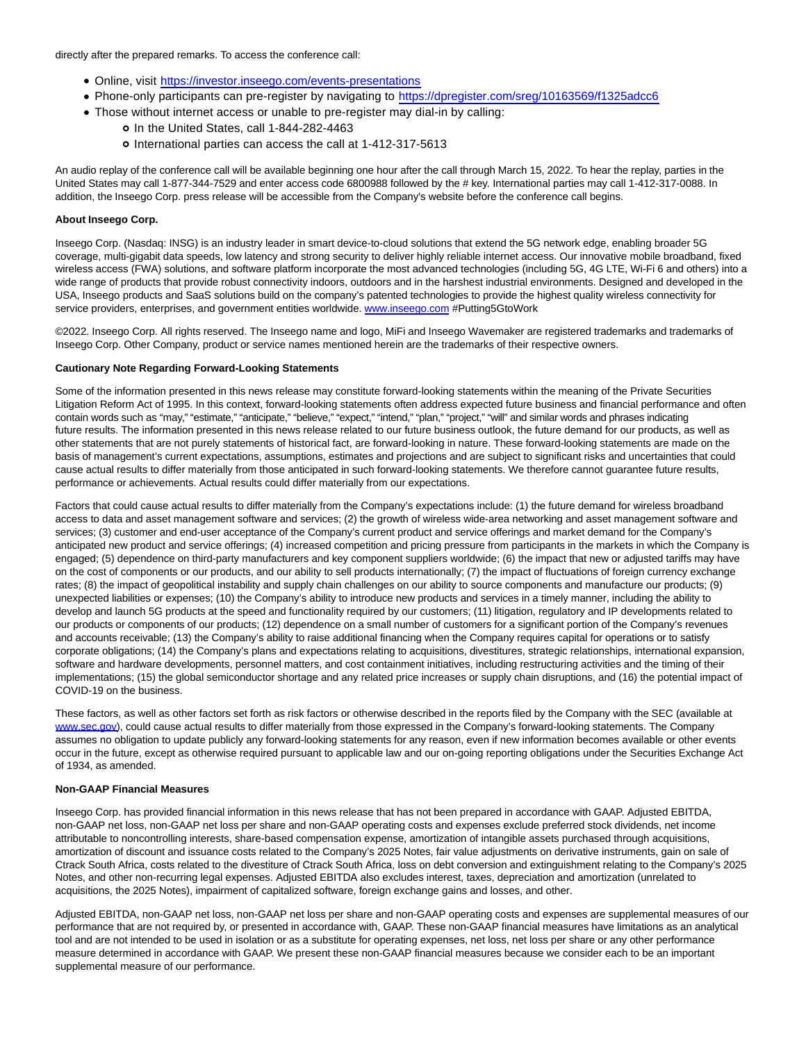directly after the prepared remarks. To access the conference call:

- Online, visit [https://investor.inseego.com/events-presentations](https://cts.businesswire.com/ct/CT?id=smartlink&url=https%3A%2F%2Finvestor.inseego.com%2Fevents-presentations&esheet=52587860&newsitemid=20220301006125&lan=en-US&anchor=https%3A%2F%2Finvestor.inseego.com%2Fevents-presentations&index=1&md5=712d13a7c7ee45a70f5df34637721c1d)
- Phone-only participants can pre-register by navigating to [https://dpregister.com/sreg/10163569/f1325adcc6](https://cts.businesswire.com/ct/CT?id=smartlink&url=https%3A%2F%2Fprotect-us.mimecast.com%2Fs%2F78DCCjRgBmsRZWDnf5rQqB%3Fdomain%3Ddpregister.com&esheet=52587860&newsitemid=20220301006125&lan=en-US&anchor=https%3A%2F%2Fdpregister.com%2Fsreg%2F10163569%2Ff1325adcc6&index=2&md5=8a88e0f46002ae592581d5ab2b2ec851)
- Those without internet access or unable to pre-register may dial-in by calling:
	- o In the United States, call 1-844-282-4463
	- o International parties can access the call at 1-412-317-5613

An audio replay of the conference call will be available beginning one hour after the call through March 15, 2022. To hear the replay, parties in the United States may call 1-877-344-7529 and enter access code 6800988 followed by the # key. International parties may call 1-412-317-0088. In addition, the Inseego Corp. press release will be accessible from the Company's website before the conference call begins.

# **About Inseego Corp.**

Inseego Corp. (Nasdaq: INSG) is an industry leader in smart device-to-cloud solutions that extend the 5G network edge, enabling broader 5G coverage, multi-gigabit data speeds, low latency and strong security to deliver highly reliable internet access. Our innovative mobile broadband, fixed wireless access (FWA) solutions, and software platform incorporate the most advanced technologies (including 5G, 4G LTE, Wi-Fi 6 and others) into a wide range of products that provide robust connectivity indoors, outdoors and in the harshest industrial environments. Designed and developed in the USA, Inseego products and SaaS solutions build on the company's patented technologies to provide the highest quality wireless connectivity for service providers, enterprises, and government entities worldwide[. www.inseego.com #](https://cts.businesswire.com/ct/CT?id=smartlink&url=http%3A%2F%2Fwww.inseego.com&esheet=52587860&newsitemid=20220301006125&lan=en-US&anchor=www.inseego.com&index=3&md5=59038d01cc676265ace5f8fd4adc4569)Putting5GtoWork

©2022. Inseego Corp. All rights reserved. The Inseego name and logo, MiFi and Inseego Wavemaker are registered trademarks and trademarks of Inseego Corp. Other Company, product or service names mentioned herein are the trademarks of their respective owners.

## **Cautionary Note Regarding Forward-Looking Statements**

Some of the information presented in this news release may constitute forward-looking statements within the meaning of the Private Securities Litigation Reform Act of 1995. In this context, forward-looking statements often address expected future business and financial performance and often contain words such as "may," "estimate," "anticipate," "believe," "expect," "intend," "plan," "project," "will" and similar words and phrases indicating future results. The information presented in this news release related to our future business outlook, the future demand for our products, as well as other statements that are not purely statements of historical fact, are forward-looking in nature. These forward-looking statements are made on the basis of management's current expectations, assumptions, estimates and projections and are subject to significant risks and uncertainties that could cause actual results to differ materially from those anticipated in such forward-looking statements. We therefore cannot guarantee future results, performance or achievements. Actual results could differ materially from our expectations.

Factors that could cause actual results to differ materially from the Company's expectations include: (1) the future demand for wireless broadband access to data and asset management software and services; (2) the growth of wireless wide-area networking and asset management software and services; (3) customer and end-user acceptance of the Company's current product and service offerings and market demand for the Company's anticipated new product and service offerings; (4) increased competition and pricing pressure from participants in the markets in which the Company is engaged; (5) dependence on third-party manufacturers and key component suppliers worldwide; (6) the impact that new or adjusted tariffs may have on the cost of components or our products, and our ability to sell products internationally; (7) the impact of fluctuations of foreign currency exchange rates; (8) the impact of geopolitical instability and supply chain challenges on our ability to source components and manufacture our products; (9) unexpected liabilities or expenses; (10) the Company's ability to introduce new products and services in a timely manner, including the ability to develop and launch 5G products at the speed and functionality required by our customers; (11) litigation, regulatory and IP developments related to our products or components of our products; (12) dependence on a small number of customers for a significant portion of the Company's revenues and accounts receivable; (13) the Company's ability to raise additional financing when the Company requires capital for operations or to satisfy corporate obligations; (14) the Company's plans and expectations relating to acquisitions, divestitures, strategic relationships, international expansion, software and hardware developments, personnel matters, and cost containment initiatives, including restructuring activities and the timing of their implementations; (15) the global semiconductor shortage and any related price increases or supply chain disruptions, and (16) the potential impact of COVID-19 on the business.

These factors, as well as other factors set forth as risk factors or otherwise described in the reports filed by the Company with the SEC (available at [www.sec.gov\),](https://cts.businesswire.com/ct/CT?id=smartlink&url=http%3A%2F%2Fwww.sec.gov&esheet=52587860&newsitemid=20220301006125&lan=en-US&anchor=www.sec.gov&index=4&md5=f909eb53644d37096a6a955d87afbcd5) could cause actual results to differ materially from those expressed in the Company's forward-looking statements. The Company assumes no obligation to update publicly any forward-looking statements for any reason, even if new information becomes available or other events occur in the future, except as otherwise required pursuant to applicable law and our on-going reporting obligations under the Securities Exchange Act of 1934, as amended.

# **Non-GAAP Financial Measures**

Inseego Corp. has provided financial information in this news release that has not been prepared in accordance with GAAP. Adjusted EBITDA, non-GAAP net loss, non-GAAP net loss per share and non-GAAP operating costs and expenses exclude preferred stock dividends, net income attributable to noncontrolling interests, share-based compensation expense, amortization of intangible assets purchased through acquisitions, amortization of discount and issuance costs related to the Company's 2025 Notes, fair value adjustments on derivative instruments, gain on sale of Ctrack South Africa, costs related to the divestiture of Ctrack South Africa, loss on debt conversion and extinguishment relating to the Company's 2025 Notes, and other non-recurring legal expenses. Adjusted EBITDA also excludes interest, taxes, depreciation and amortization (unrelated to acquisitions, the 2025 Notes), impairment of capitalized software, foreign exchange gains and losses, and other.

Adjusted EBITDA, non-GAAP net loss, non-GAAP net loss per share and non-GAAP operating costs and expenses are supplemental measures of our performance that are not required by, or presented in accordance with, GAAP. These non-GAAP financial measures have limitations as an analytical tool and are not intended to be used in isolation or as a substitute for operating expenses, net loss, net loss per share or any other performance measure determined in accordance with GAAP. We present these non-GAAP financial measures because we consider each to be an important supplemental measure of our performance.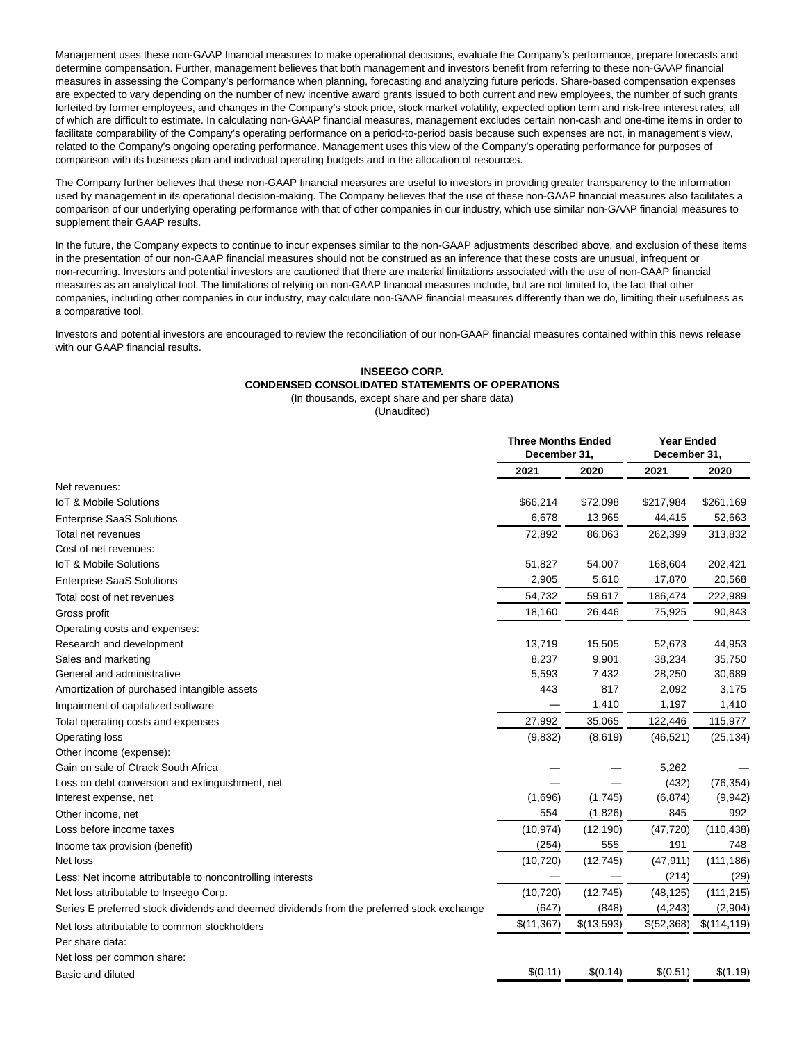Management uses these non-GAAP financial measures to make operational decisions, evaluate the Company's performance, prepare forecasts and determine compensation. Further, management believes that both management and investors benefit from referring to these non-GAAP financial measures in assessing the Company's performance when planning, forecasting and analyzing future periods. Share-based compensation expenses are expected to vary depending on the number of new incentive award grants issued to both current and new employees, the number of such grants forfeited by former employees, and changes in the Company's stock price, stock market volatility, expected option term and risk-free interest rates, all of which are difficult to estimate. In calculating non-GAAP financial measures, management excludes certain non-cash and one-time items in order to facilitate comparability of the Company's operating performance on a period-to-period basis because such expenses are not, in management's view, related to the Company's ongoing operating performance. Management uses this view of the Company's operating performance for purposes of comparison with its business plan and individual operating budgets and in the allocation of resources.

The Company further believes that these non-GAAP financial measures are useful to investors in providing greater transparency to the information used by management in its operational decision-making. The Company believes that the use of these non-GAAP financial measures also facilitates a comparison of our underlying operating performance with that of other companies in our industry, which use similar non-GAAP financial measures to supplement their GAAP results.

In the future, the Company expects to continue to incur expenses similar to the non-GAAP adjustments described above, and exclusion of these items in the presentation of our non-GAAP financial measures should not be construed as an inference that these costs are unusual, infrequent or non-recurring. Investors and potential investors are cautioned that there are material limitations associated with the use of non-GAAP financial measures as an analytical tool. The limitations of relying on non-GAAP financial measures include, but are not limited to, the fact that other companies, including other companies in our industry, may calculate non-GAAP financial measures differently than we do, limiting their usefulness as a comparative tool.

Investors and potential investors are encouraged to review the reconciliation of our non-GAAP financial measures contained within this news release with our GAAP financial results.

#### **INSEEGO CORP. CONDENSED CONSOLIDATED STATEMENTS OF OPERATIONS** (In thousands, except share and per share data)

(Unaudited)

|                                                                                           | <b>Three Months Ended</b><br>December 31, |            | <b>Year Ended</b><br>December 31, |              |
|-------------------------------------------------------------------------------------------|-------------------------------------------|------------|-----------------------------------|--------------|
|                                                                                           | 2021                                      | 2020       | 2021                              | 2020         |
| Net revenues:                                                                             |                                           |            |                                   |              |
| IoT & Mobile Solutions                                                                    | \$66,214                                  | \$72,098   | \$217,984                         | \$261,169    |
| <b>Enterprise SaaS Solutions</b>                                                          | 6,678                                     | 13,965     | 44,415                            | 52,663       |
| Total net revenues                                                                        | 72,892                                    | 86,063     | 262,399                           | 313,832      |
| Cost of net revenues:                                                                     |                                           |            |                                   |              |
| IoT & Mobile Solutions                                                                    | 51,827                                    | 54,007     | 168,604                           | 202,421      |
| <b>Enterprise SaaS Solutions</b>                                                          | 2,905                                     | 5,610      | 17,870                            | 20,568       |
| Total cost of net revenues                                                                | 54,732                                    | 59,617     | 186,474                           | 222,989      |
| Gross profit                                                                              | 18,160                                    | 26,446     | 75,925                            | 90,843       |
| Operating costs and expenses:                                                             |                                           |            |                                   |              |
| Research and development                                                                  | 13,719                                    | 15,505     | 52,673                            | 44,953       |
| Sales and marketing                                                                       | 8,237                                     | 9,901      | 38,234                            | 35,750       |
| General and administrative                                                                | 5,593                                     | 7,432      | 28,250                            | 30,689       |
| Amortization of purchased intangible assets                                               | 443                                       | 817        | 2,092                             | 3,175        |
| Impairment of capitalized software                                                        |                                           | 1,410      | 1,197                             | 1,410        |
| Total operating costs and expenses                                                        | 27,992                                    | 35,065     | 122,446                           | 115,977      |
| Operating loss                                                                            | (9, 832)                                  | (8,619)    | (46, 521)                         | (25, 134)    |
| Other income (expense):                                                                   |                                           |            |                                   |              |
| Gain on sale of Ctrack South Africa                                                       |                                           |            | 5,262                             |              |
| Loss on debt conversion and extinguishment, net                                           |                                           |            | (432)                             | (76, 354)    |
| Interest expense, net                                                                     | (1,696)                                   | (1,745)    | (6, 874)                          | (9,942)      |
| Other income, net                                                                         | 554                                       | (1,826)    | 845                               | 992          |
| Loss before income taxes                                                                  | (10, 974)                                 | (12, 190)  | (47, 720)                         | (110, 438)   |
| Income tax provision (benefit)                                                            | (254)                                     | 555        | 191                               | 748          |
| Net loss                                                                                  | (10, 720)                                 | (12, 745)  | (47, 911)                         | (111, 186)   |
| Less: Net income attributable to noncontrolling interests                                 |                                           |            | (214)                             | (29)         |
| Net loss attributable to Inseego Corp.                                                    | (10, 720)                                 | (12, 745)  | (48, 125)                         | (111, 215)   |
| Series E preferred stock dividends and deemed dividends from the preferred stock exchange | (647)                                     | (848)      | (4, 243)                          | (2,904)      |
| Net loss attributable to common stockholders                                              | \$(11,367)                                | \$(13,593) | \$(52,368)                        | \$(114, 119) |
| Per share data:                                                                           |                                           |            |                                   |              |
| Net loss per common share:                                                                |                                           |            |                                   |              |
| Basic and diluted                                                                         | \$(0.11)                                  | \$(0.14)   | \$(0.51)                          | \$(1.19)     |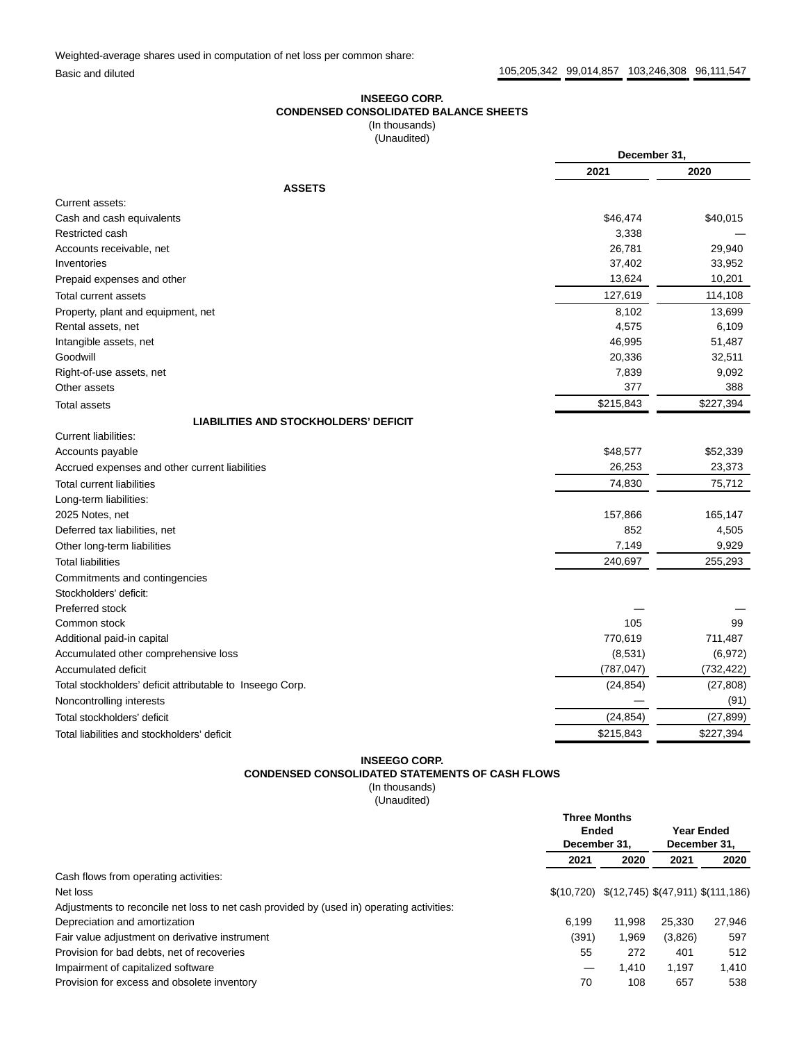Weighted-average shares used in computation of net loss per common share:

# **INSEEGO CORP. CONDENSED CONSOLIDATED BALANCE SHEETS** (In thousands)

(Unaudited)

|                                                           | December 31, |            |
|-----------------------------------------------------------|--------------|------------|
|                                                           | 2021         | 2020       |
| <b>ASSETS</b>                                             |              |            |
| Current assets:                                           |              |            |
| Cash and cash equivalents                                 | \$46,474     | \$40,015   |
| Restricted cash                                           | 3,338        |            |
| Accounts receivable, net                                  | 26,781       | 29,940     |
| Inventories                                               | 37,402       | 33,952     |
| Prepaid expenses and other                                | 13,624       | 10,201     |
| <b>Total current assets</b>                               | 127,619      | 114,108    |
| Property, plant and equipment, net                        | 8,102        | 13,699     |
| Rental assets, net                                        | 4,575        | 6,109      |
| Intangible assets, net                                    | 46,995       | 51,487     |
| Goodwill                                                  | 20,336       | 32,511     |
| Right-of-use assets, net                                  | 7,839        | 9,092      |
| Other assets                                              | 377          | 388        |
| <b>Total assets</b>                                       | \$215,843    | \$227,394  |
| <b>LIABILITIES AND STOCKHOLDERS' DEFICIT</b>              |              |            |
| Current liabilities:                                      |              |            |
| Accounts payable                                          | \$48,577     | \$52,339   |
| Accrued expenses and other current liabilities            | 26,253       | 23,373     |
| <b>Total current liabilities</b>                          | 74,830       | 75,712     |
| Long-term liabilities:                                    |              |            |
| 2025 Notes, net                                           | 157,866      | 165,147    |
| Deferred tax liabilities, net                             | 852          | 4,505      |
| Other long-term liabilities                               | 7,149        | 9,929      |
| <b>Total liabilities</b>                                  | 240,697      | 255,293    |
| Commitments and contingencies                             |              |            |
| Stockholders' deficit:                                    |              |            |
| Preferred stock                                           |              |            |
| Common stock                                              | 105          | 99         |
| Additional paid-in capital                                | 770,619      | 711,487    |
| Accumulated other comprehensive loss                      | (8,531)      | (6,972)    |
| Accumulated deficit                                       | (787, 047)   | (732, 422) |
| Total stockholders' deficit attributable to Inseego Corp. | (24, 854)    | (27, 808)  |
| Noncontrolling interests                                  |              | (91)       |
| Total stockholders' deficit                               | (24, 854)    | (27, 899)  |
| Total liabilities and stockholders' deficit               | \$215,843    | \$227,394  |

# **INSEEGO CORP.**

# **CONDENSED CONSOLIDATED STATEMENTS OF CASH FLOWS**

(In thousands) (Unaudited)

|                                                                                           | <b>Three Months</b><br>Ended<br>December 31, |        |         | Year Ended<br>December 31,                    |
|-------------------------------------------------------------------------------------------|----------------------------------------------|--------|---------|-----------------------------------------------|
|                                                                                           | 2021                                         | 2020   | 2021    | 2020                                          |
| Cash flows from operating activities:                                                     |                                              |        |         |                                               |
| Net loss                                                                                  |                                              |        |         | $$(10,720) \$(12,745) \$(47,911) \$(111,186)$ |
| Adjustments to reconcile net loss to net cash provided by (used in) operating activities: |                                              |        |         |                                               |
| Depreciation and amortization                                                             | 6.199                                        | 11.998 | 25.330  | 27,946                                        |
| Fair value adjustment on derivative instrument                                            | (391)                                        | 1.969  | (3,826) | 597                                           |
| Provision for bad debts, net of recoveries                                                | 55                                           | 272    | 401     | 512                                           |
| Impairment of capitalized software                                                        |                                              | 1.410  | 1.197   | 1.410                                         |
| Provision for excess and obsolete inventory                                               | 70                                           | 108    | 657     | 538                                           |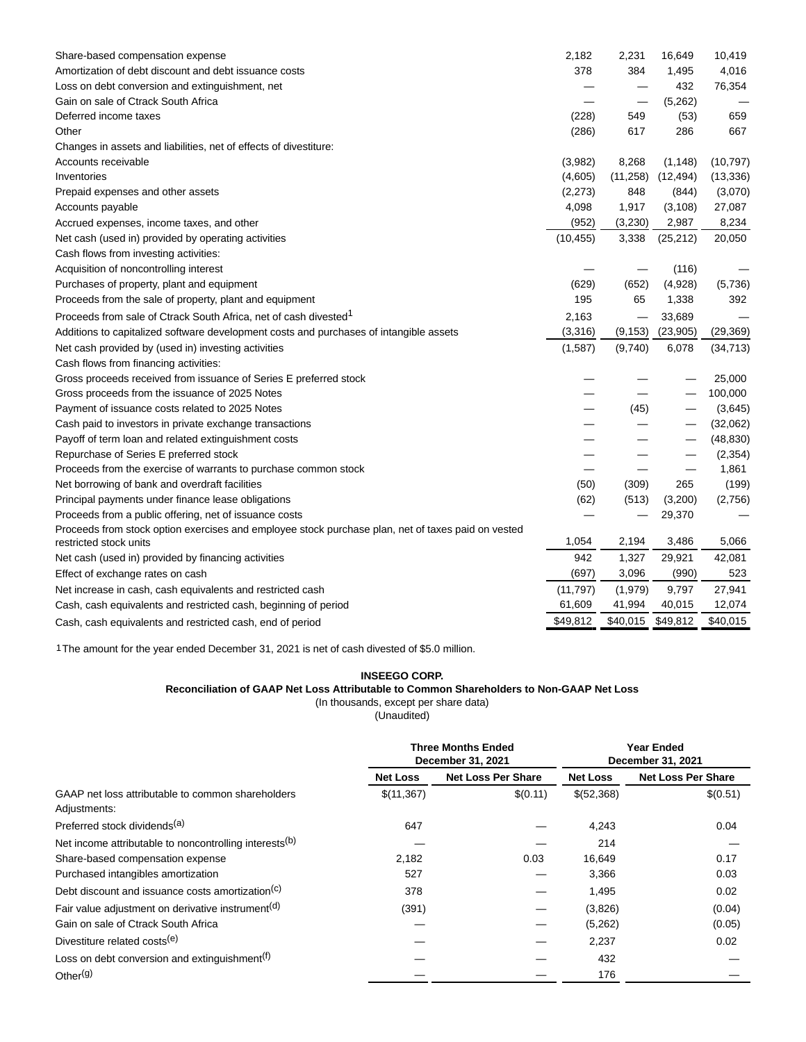| Share-based compensation expense                                                                   | 2,182     | 2,231     | 16,649    | 10,419    |
|----------------------------------------------------------------------------------------------------|-----------|-----------|-----------|-----------|
| Amortization of debt discount and debt issuance costs                                              | 378       | 384       | 1,495     | 4,016     |
| Loss on debt conversion and extinguishment, net                                                    |           |           | 432       | 76,354    |
| Gain on sale of Ctrack South Africa                                                                |           |           | (5,262)   |           |
| Deferred income taxes                                                                              | (228)     | 549       | (53)      | 659       |
| Other                                                                                              | (286)     | 617       | 286       | 667       |
| Changes in assets and liabilities, net of effects of divestiture:                                  |           |           |           |           |
| Accounts receivable                                                                                | (3,982)   | 8,268     | (1, 148)  | (10, 797) |
| Inventories                                                                                        | (4,605)   | (11, 258) | (12, 494) | (13, 336) |
| Prepaid expenses and other assets                                                                  | (2,273)   | 848       | (844)     | (3,070)   |
| Accounts payable                                                                                   | 4,098     | 1,917     | (3, 108)  | 27,087    |
| Accrued expenses, income taxes, and other                                                          | (952)     | (3,230)   | 2,987     | 8,234     |
| Net cash (used in) provided by operating activities                                                | (10, 455) | 3,338     | (25, 212) | 20,050    |
| Cash flows from investing activities:                                                              |           |           |           |           |
| Acquisition of noncontrolling interest                                                             |           |           | (116)     |           |
| Purchases of property, plant and equipment                                                         | (629)     | (652)     | (4,928)   | (5,736)   |
| Proceeds from the sale of property, plant and equipment                                            | 195       | 65        | 1,338     | 392       |
| Proceeds from sale of Ctrack South Africa, net of cash divested <sup>1</sup>                       | 2,163     |           | 33,689    |           |
| Additions to capitalized software development costs and purchases of intangible assets             | (3,316)   | (9, 153)  | (23, 905) | (29, 369) |
| Net cash provided by (used in) investing activities                                                | (1,587)   | (9,740)   | 6,078     | (34, 713) |
| Cash flows from financing activities:                                                              |           |           |           |           |
| Gross proceeds received from issuance of Series E preferred stock                                  |           |           |           | 25,000    |
| Gross proceeds from the issuance of 2025 Notes                                                     |           |           |           | 100,000   |
| Payment of issuance costs related to 2025 Notes                                                    |           | (45)      |           | (3,645)   |
| Cash paid to investors in private exchange transactions                                            |           |           |           | (32,062)  |
| Payoff of term loan and related extinguishment costs                                               |           |           |           | (48, 830) |
| Repurchase of Series E preferred stock                                                             |           |           |           | (2, 354)  |
| Proceeds from the exercise of warrants to purchase common stock                                    |           |           |           | 1,861     |
| Net borrowing of bank and overdraft facilities                                                     | (50)      | (309)     | 265       | (199)     |
| Principal payments under finance lease obligations                                                 | (62)      | (513)     | (3,200)   | (2,756)   |
| Proceeds from a public offering, net of issuance costs                                             |           |           | 29,370    |           |
| Proceeds from stock option exercises and employee stock purchase plan, net of taxes paid on vested |           |           |           |           |
| restricted stock units                                                                             | 1,054     | 2,194     | 3,486     | 5,066     |
| Net cash (used in) provided by financing activities                                                | 942       | 1,327     | 29,921    | 42,081    |
| Effect of exchange rates on cash                                                                   | (697)     | 3,096     | (990)     | 523       |
| Net increase in cash, cash equivalents and restricted cash                                         | (11, 797) | (1,979)   | 9,797     | 27,941    |
| Cash, cash equivalents and restricted cash, beginning of period                                    | 61,609    | 41,994    | 40,015    | 12,074    |
| Cash, cash equivalents and restricted cash, end of period                                          | \$49,812  | \$40,015  | \$49,812  | \$40,015  |

1The amount for the year ended December 31, 2021 is net of cash divested of \$5.0 million.

# **INSEEGO CORP.**

# **Reconciliation of GAAP Net Loss Attributable to Common Shareholders to Non-GAAP Net Loss**

(In thousands, except per share data)

(Unaudited)

|                                                                    | <b>Three Months Ended</b><br>December 31, 2021 |                           | <b>Year Ended</b><br>December 31, 2021 |                           |
|--------------------------------------------------------------------|------------------------------------------------|---------------------------|----------------------------------------|---------------------------|
|                                                                    | <b>Net Loss</b>                                | <b>Net Loss Per Share</b> | <b>Net Loss</b>                        | <b>Net Loss Per Share</b> |
| GAAP net loss attributable to common shareholders<br>Adjustments:  | \$(11,367)                                     | \$(0.11)                  | \$(52,368)                             | \$(0.51)                  |
| Preferred stock dividends <sup>(a)</sup>                           | 647                                            |                           | 4,243                                  | 0.04                      |
| Net income attributable to noncontrolling interests <sup>(b)</sup> |                                                |                           | 214                                    |                           |
| Share-based compensation expense                                   | 2,182                                          | 0.03                      | 16,649                                 | 0.17                      |
| Purchased intangibles amortization                                 | 527                                            |                           | 3,366                                  | 0.03                      |
| Debt discount and issuance costs amortization <sup>(c)</sup>       | 378                                            |                           | 1,495                                  | 0.02                      |
| Fair value adjustment on derivative instrument <sup>(d)</sup>      | (391)                                          |                           | (3,826)                                | (0.04)                    |
| Gain on sale of Ctrack South Africa                                |                                                |                           | (5,262)                                | (0.05)                    |
| Divestiture related costs <sup>(e)</sup>                           |                                                |                           | 2,237                                  | 0.02                      |
| Loss on debt conversion and extinguishment <sup>(f)</sup>          |                                                |                           | 432                                    |                           |
| Other <sup>(g)</sup>                                               |                                                |                           | 176                                    |                           |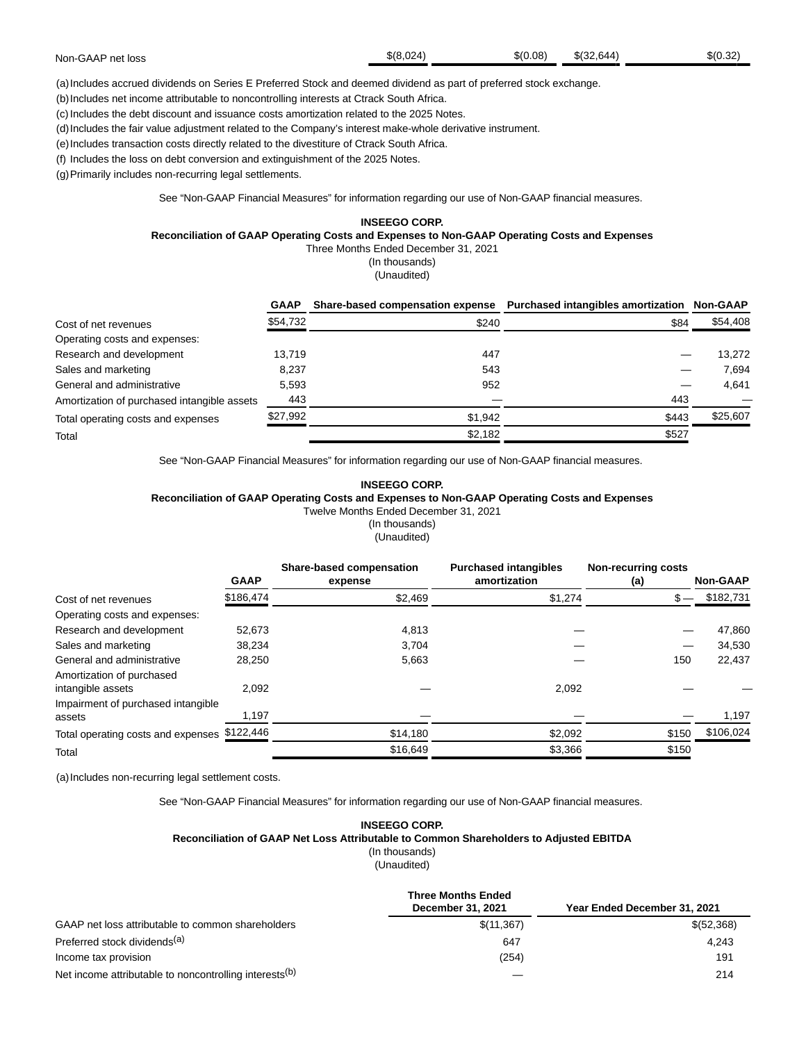|  | Non-GAAP net loss | \$(8.024) | \$(0.08) | \$ (32.644) | \$(0.32) |
|--|-------------------|-----------|----------|-------------|----------|
|--|-------------------|-----------|----------|-------------|----------|

(a)Includes accrued dividends on Series E Preferred Stock and deemed dividend as part of preferred stock exchange.

(b) Includes net income attributable to noncontrolling interests at Ctrack South Africa.

(c) Includes the debt discount and issuance costs amortization related to the 2025 Notes.

(d)Includes the fair value adjustment related to the Company's interest make-whole derivative instrument.

(e) Includes transaction costs directly related to the divestiture of Ctrack South Africa.

(f) Includes the loss on debt conversion and extinguishment of the 2025 Notes.

(g)Primarily includes non-recurring legal settlements.

See "Non-GAAP Financial Measures" for information regarding our use of Non-GAAP financial measures.

## **INSEEGO CORP.**

# **Reconciliation of GAAP Operating Costs and Expenses to Non-GAAP Operating Costs and Expenses**

Three Months Ended December 31, 2021

(In thousands)

(Unaudited)

|                                             | <b>GAAP</b> | Share-based compensation expense Purchased intangibles amortization Non-GAAP |       |          |
|---------------------------------------------|-------------|------------------------------------------------------------------------------|-------|----------|
| Cost of net revenues                        | \$54,732    | \$240                                                                        | \$84  | \$54,408 |
| Operating costs and expenses:               |             |                                                                              |       |          |
| Research and development                    | 13.719      | 447                                                                          |       | 13.272   |
| Sales and marketing                         | 8.237       | 543                                                                          |       | 7.694    |
| General and administrative                  | 5.593       | 952                                                                          |       | 4,641    |
| Amortization of purchased intangible assets | 443         |                                                                              | 443   |          |
| Total operating costs and expenses          | \$27,992    | \$1,942                                                                      | \$443 | \$25,607 |
| Total                                       |             | \$2,182                                                                      | \$527 |          |

See "Non-GAAP Financial Measures" for information regarding our use of Non-GAAP financial measures.

# **INSEEGO CORP.**

**Reconciliation of GAAP Operating Costs and Expenses to Non-GAAP Operating Costs and Expenses**

Twelve Months Ended December 31, 2021

(In thousands) (Unaudited)

|                                                | <b>GAAP</b> | Share-based compensation<br>expense | <b>Purchased intangibles</b><br>amortization | <b>Non-recurring costs</b><br>(a) | <b>Non-GAAP</b> |
|------------------------------------------------|-------------|-------------------------------------|----------------------------------------------|-----------------------------------|-----------------|
| Cost of net revenues                           | \$186,474   | \$2,469                             | \$1,274                                      |                                   | \$182,731       |
| Operating costs and expenses:                  |             |                                     |                                              |                                   |                 |
| Research and development                       | 52.673      | 4,813                               |                                              |                                   | 47,860          |
| Sales and marketing                            | 38,234      | 3.704                               |                                              |                                   | 34,530          |
| General and administrative                     | 28.250      | 5,663                               |                                              | 150                               | 22,437          |
| Amortization of purchased<br>intangible assets | 2.092       |                                     | 2,092                                        |                                   |                 |
| Impairment of purchased intangible<br>assets   | 1,197       |                                     |                                              |                                   | 1,197           |
| Total operating costs and expenses             | \$122,446   | \$14,180                            | \$2,092                                      | \$150                             | \$106,024       |
| Total                                          |             | \$16,649                            | \$3,366                                      | \$150                             |                 |

(a) Includes non-recurring legal settlement costs.

See "Non-GAAP Financial Measures" for information regarding our use of Non-GAAP financial measures.

# **INSEEGO CORP.**

#### **Reconciliation of GAAP Net Loss Attributable to Common Shareholders to Adjusted EBITDA**

(In thousands)

(Unaudited)

|                                                                    | <b>Three Months Ended</b> |                              |
|--------------------------------------------------------------------|---------------------------|------------------------------|
|                                                                    | December 31, 2021         | Year Ended December 31, 2021 |
| GAAP net loss attributable to common shareholders                  | \$(11, 367)               | \$(52,368)                   |
| Preferred stock dividends <sup>(a)</sup>                           | 647                       | 4.243                        |
| Income tax provision                                               | (254)                     | 191                          |
| Net income attributable to noncontrolling interests <sup>(b)</sup> |                           | 214                          |